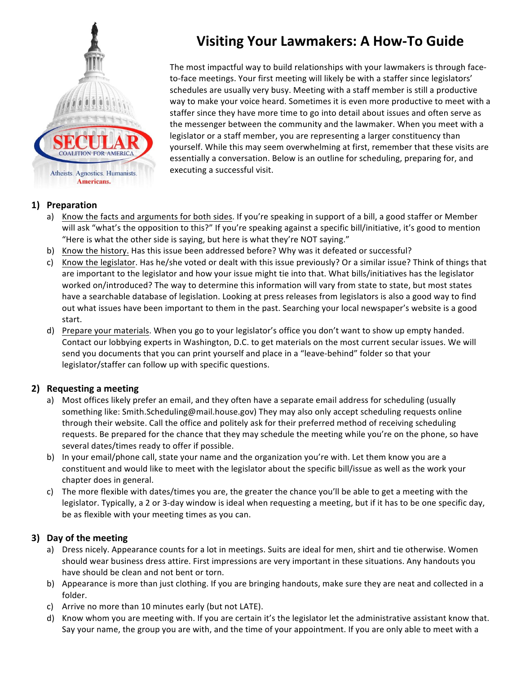

# **Visiting Your Lawmakers: A How-To Guide**

The most impactful way to build relationships with your lawmakers is through faceto-face meetings. Your first meeting will likely be with a staffer since legislators' schedules are usually very busy. Meeting with a staff member is still a productive way to make your voice heard. Sometimes it is even more productive to meet with a staffer since they have more time to go into detail about issues and often serve as the messenger between the community and the lawmaker. When you meet with a legislator or a staff member, you are representing a larger constituency than yourself. While this may seem overwhelming at first, remember that these visits are essentially a conversation. Below is an outline for scheduling, preparing for, and executing a successful visit.

#### **1) Preparation**

- a) Know the facts and arguments for both sides. If you're speaking in support of a bill, a good staffer or Member will ask "what's the opposition to this?" If you're speaking against a specific bill/initiative, it's good to mention "Here is what the other side is saying, but here is what they're NOT saying."
- b) Know the history. Has this issue been addressed before? Why was it defeated or successful?
- c) Know the legislator. Has he/she voted or dealt with this issue previously? Or a similar issue? Think of things that are important to the legislator and how your issue might tie into that. What bills/initiatives has the legislator worked on/introduced? The way to determine this information will vary from state to state, but most states have a searchable database of legislation. Looking at press releases from legislators is also a good way to find out what issues have been important to them in the past. Searching your local newspaper's website is a good start.
- d) Prepare your materials. When you go to your legislator's office you don't want to show up empty handed. Contact our lobbying experts in Washington, D.C. to get materials on the most current secular issues. We will send you documents that you can print yourself and place in a "leave-behind" folder so that your legislator/staffer can follow up with specific questions.

#### **2)** Requesting a meeting

- a) Most offices likely prefer an email, and they often have a separate email address for scheduling (usually something like: Smith.Scheduling@mail.house.gov) They may also only accept scheduling requests online through their website. Call the office and politely ask for their preferred method of receiving scheduling requests. Be prepared for the chance that they may schedule the meeting while you're on the phone, so have several dates/times ready to offer if possible.
- b) In your email/phone call, state your name and the organization you're with. Let them know you are a constituent and would like to meet with the legislator about the specific bill/issue as well as the work your chapter does in general.
- c) The more flexible with dates/times you are, the greater the chance you'll be able to get a meeting with the legislator. Typically, a 2 or 3-day window is ideal when requesting a meeting, but if it has to be one specific day, be as flexible with your meeting times as you can.

### **3)** Day of the meeting

- a) Dress nicely. Appearance counts for a lot in meetings. Suits are ideal for men, shirt and tie otherwise. Women should wear business dress attire. First impressions are very important in these situations. Any handouts you have should be clean and not bent or torn.
- b) Appearance is more than just clothing. If you are bringing handouts, make sure they are neat and collected in a folder.
- c) Arrive no more than 10 minutes early (but not LATE).
- d) Know whom you are meeting with. If you are certain it's the legislator let the administrative assistant know that. Say your name, the group you are with, and the time of your appointment. If you are only able to meet with a